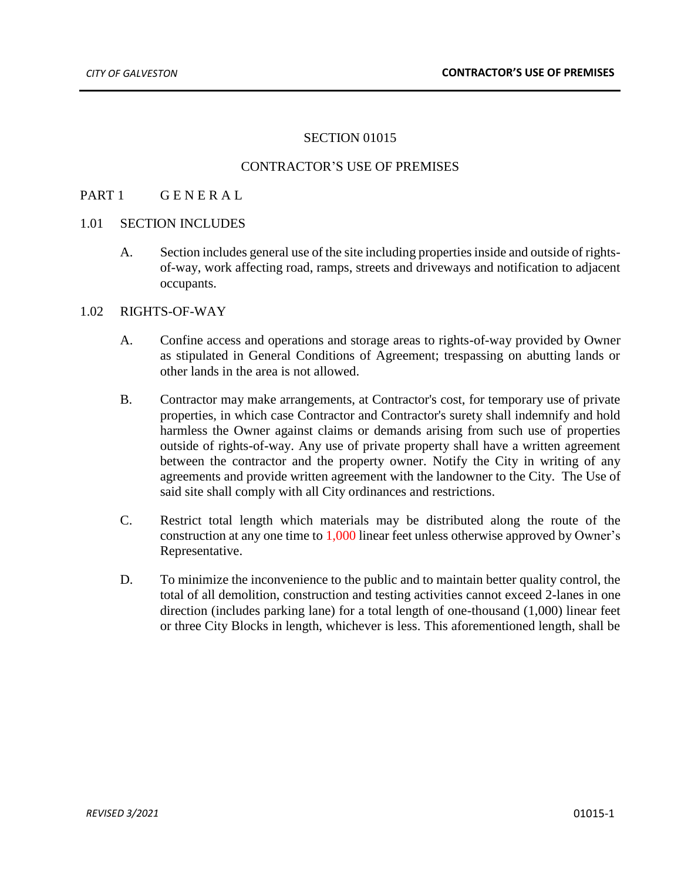# SECTION 01015

## CONTRACTOR'S USE OF PREMISES

### PART 1 GENERAL

#### 1.01 SECTION INCLUDES

A. Section includes general use of the site including properties inside and outside of rightsof-way, work affecting road, ramps, streets and driveways and notification to adjacent occupants.

#### 1.02 RIGHTS-OF-WAY

- A. Confine access and operations and storage areas to rights-of-way provided by Owner as stipulated in General Conditions of Agreement; trespassing on abutting lands or other lands in the area is not allowed.
- B. Contractor may make arrangements, at Contractor's cost, for temporary use of private properties, in which case Contractor and Contractor's surety shall indemnify and hold harmless the Owner against claims or demands arising from such use of properties outside of rights-of-way. Any use of private property shall have a written agreement between the contractor and the property owner. Notify the City in writing of any agreements and provide written agreement with the landowner to the City. The Use of said site shall comply with all City ordinances and restrictions.
- C. Restrict total length which materials may be distributed along the route of the construction at any one time to 1,000 linear feet unless otherwise approved by Owner's Representative.
- D. To minimize the inconvenience to the public and to maintain better quality control, the total of all demolition, construction and testing activities cannot exceed 2-lanes in one direction (includes parking lane) for a total length of one-thousand (1,000) linear feet or three City Blocks in length, whichever is less. This aforementioned length, shall be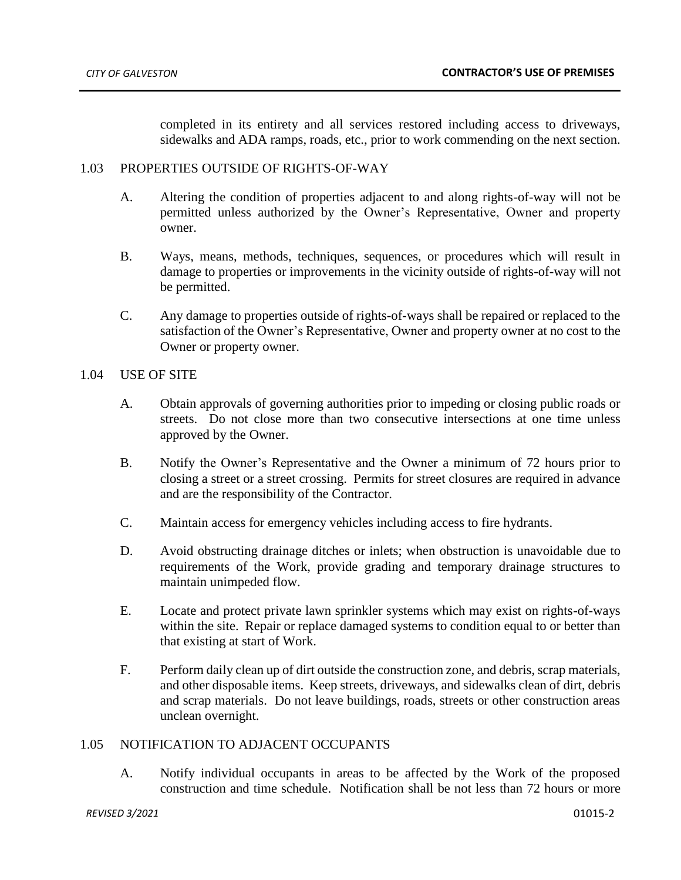completed in its entirety and all services restored including access to driveways, sidewalks and ADA ramps, roads, etc., prior to work commending on the next section.

## 1.03 PROPERTIES OUTSIDE OF RIGHTS-OF-WAY

- A. Altering the condition of properties adjacent to and along rights-of-way will not be permitted unless authorized by the Owner's Representative, Owner and property owner.
- B. Ways, means, methods, techniques, sequences, or procedures which will result in damage to properties or improvements in the vicinity outside of rights-of-way will not be permitted.
- C. Any damage to properties outside of rights-of-ways shall be repaired or replaced to the satisfaction of the Owner's Representative, Owner and property owner at no cost to the Owner or property owner.

### 1.04 USE OF SITE

- A. Obtain approvals of governing authorities prior to impeding or closing public roads or streets. Do not close more than two consecutive intersections at one time unless approved by the Owner.
- B. Notify the Owner's Representative and the Owner a minimum of 72 hours prior to closing a street or a street crossing. Permits for street closures are required in advance and are the responsibility of the Contractor.
- C. Maintain access for emergency vehicles including access to fire hydrants.
- D. Avoid obstructing drainage ditches or inlets; when obstruction is unavoidable due to requirements of the Work, provide grading and temporary drainage structures to maintain unimpeded flow.
- E. Locate and protect private lawn sprinkler systems which may exist on rights-of-ways within the site. Repair or replace damaged systems to condition equal to or better than that existing at start of Work.
- F. Perform daily clean up of dirt outside the construction zone, and debris, scrap materials, and other disposable items. Keep streets, driveways, and sidewalks clean of dirt, debris and scrap materials. Do not leave buildings, roads, streets or other construction areas unclean overnight.

#### 1.05 NOTIFICATION TO ADJACENT OCCUPANTS

A. Notify individual occupants in areas to be affected by the Work of the proposed construction and time schedule. Notification shall be not less than 72 hours or more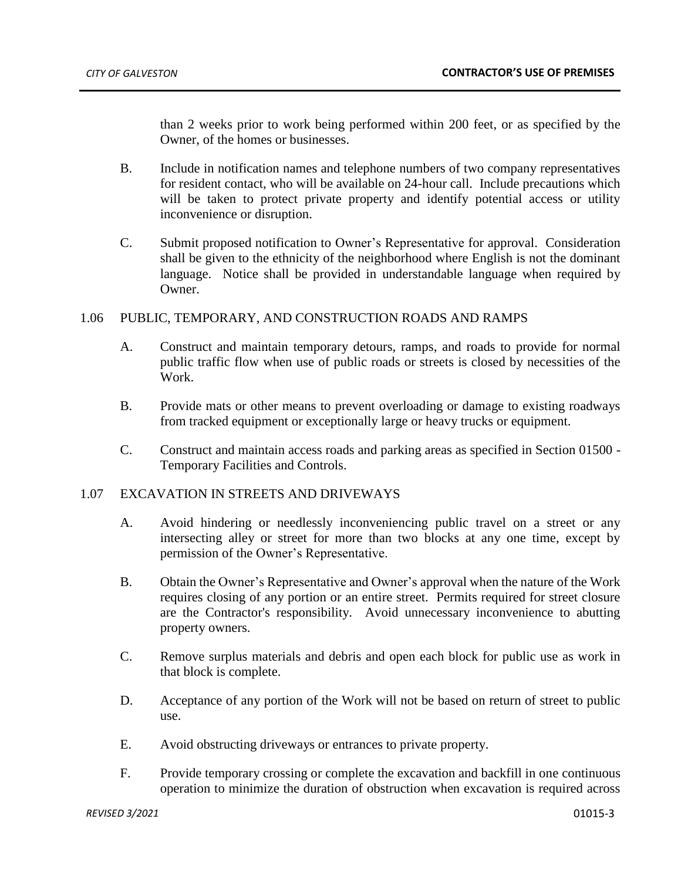than 2 weeks prior to work being performed within 200 feet, or as specified by the Owner, of the homes or businesses.

- B. Include in notification names and telephone numbers of two company representatives for resident contact, who will be available on 24-hour call. Include precautions which will be taken to protect private property and identify potential access or utility inconvenience or disruption.
- C. Submit proposed notification to Owner's Representative for approval. Consideration shall be given to the ethnicity of the neighborhood where English is not the dominant language. Notice shall be provided in understandable language when required by Owner.

## 1.06 PUBLIC, TEMPORARY, AND CONSTRUCTION ROADS AND RAMPS

- A. Construct and maintain temporary detours, ramps, and roads to provide for normal public traffic flow when use of public roads or streets is closed by necessities of the Work.
- B. Provide mats or other means to prevent overloading or damage to existing roadways from tracked equipment or exceptionally large or heavy trucks or equipment.
- C. Construct and maintain access roads and parking areas as specified in Section 01500 Temporary Facilities and Controls.

#### 1.07 EXCAVATION IN STREETS AND DRIVEWAYS

- A. Avoid hindering or needlessly inconveniencing public travel on a street or any intersecting alley or street for more than two blocks at any one time, except by permission of the Owner's Representative.
- B. Obtain the Owner's Representative and Owner's approval when the nature of the Work requires closing of any portion or an entire street. Permits required for street closure are the Contractor's responsibility. Avoid unnecessary inconvenience to abutting property owners.
- C. Remove surplus materials and debris and open each block for public use as work in that block is complete.
- D. Acceptance of any portion of the Work will not be based on return of street to public use.
- E. Avoid obstructing driveways or entrances to private property.
- F. Provide temporary crossing or complete the excavation and backfill in one continuous operation to minimize the duration of obstruction when excavation is required across